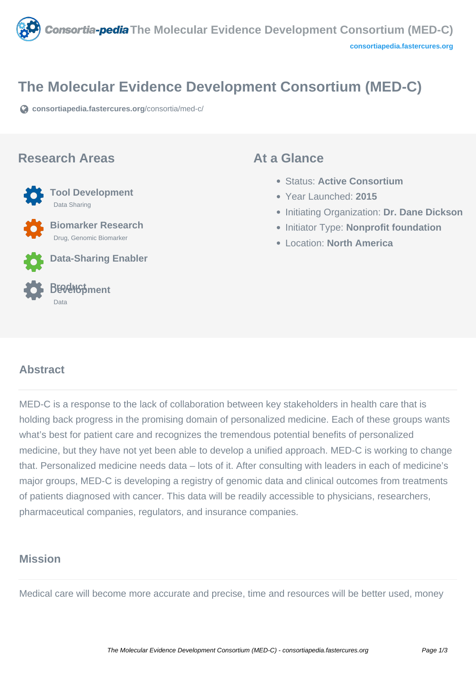

# **The Molecular Evidence Development Consortium (MED-C)**

**[consortiapedia.fastercures.org](https://consortiapedia.fastercures.org/consortia/med-c/)**[/consortia/med-c/](https://consortiapedia.fastercures.org/consortia/med-c/)

#### **Research Areas**



 **Biomarker Research** Drug, Genomic Biomarker





#### **At a Glance**

- Status: **Active Consortium**
- Year Launched: **2015**
- Initiating Organization: **Dr. Dane Dickson**
- **Initiator Type: Nonprofit foundation**
- Location: **North America**

#### $\overline{a}$ **Abstract**

MED-C is a response to the lack of collaboration between key stakeholders in health care that is holding back progress in the promising domain of personalized medicine. Each of these groups wants what's best for patient care and recognizes the tremendous potential benefits of personalized medicine, but they have not yet been able to develop a unified approach. MED-C is working to change that. Personalized medicine needs data – lots of it. After consulting with leaders in each of medicine's major groups, MED-C is developing a registry of genomic data and clinical outcomes from treatments of patients diagnosed with cancer. This data will be readily accessible to physicians, researchers, pharmaceutical companies, regulators, and insurance companies.

# **Mission**

Medical care will become more accurate and precise, time and resources will be better used, money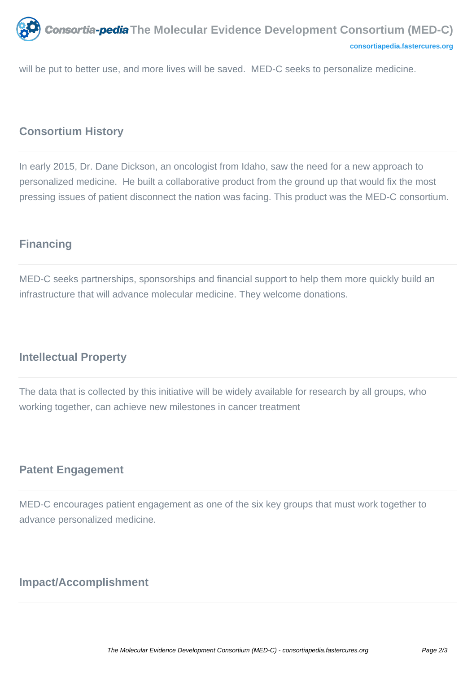

will be put to better use, and more lives will be saved. MED-C seeks to personalize medicine.

## **Consortium History**

In early 2015, Dr. Dane Dickson, an oncologist from Idaho, saw the need for a new approach to personalized medicine. He built a collaborative product from the ground up that would fix the most pressing issues of patient disconnect the nation was facing. This product was the MED-C consortium.

## **Financing**

MED-C seeks partnerships, sponsorships and financial support to help them more quickly build an infrastructure that will advance molecular medicine. They welcome donations.

## **Intellectual Property**

The data that is collected by this initiative will be widely available for research by all groups, who working together, can achieve new milestones in cancer treatment

## **Patent Engagement**

MED-C encourages patient engagement as one of the six key groups that must work together to advance personalized medicine.

# **Impact/Accomplishment**